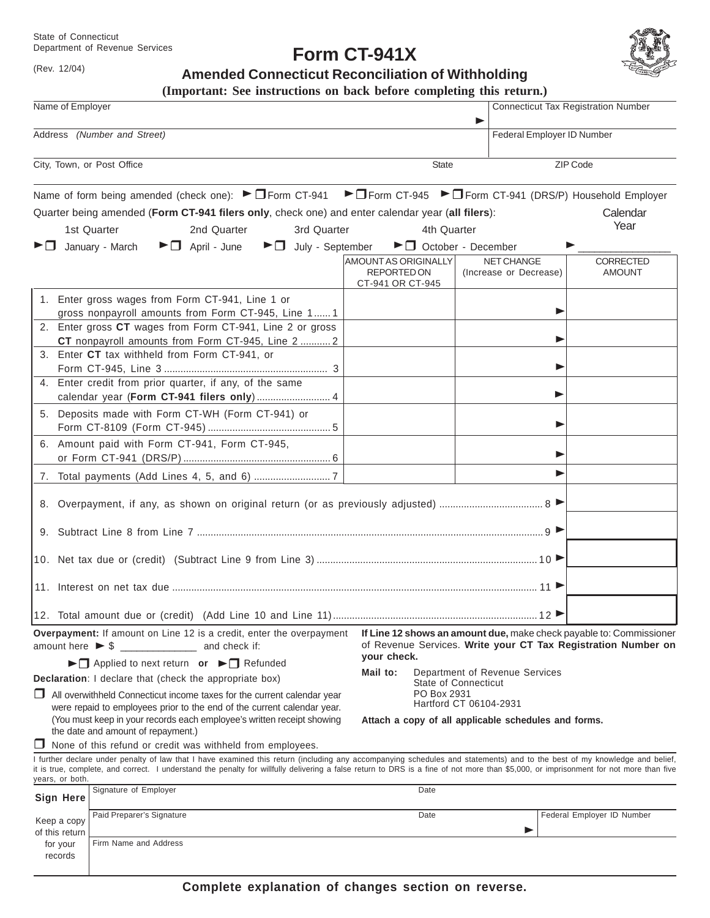State of Connecticut Department of Revenue Services

(Rev. 12/04)

**Form CT-941X**



**Amended Connecticut Reconciliation of Withholding**

|                                                                                                     | (Important: See instructions on back before completing this return.)                                                                                                                                                                           |                                                                                                                                                     |                                                        |                                             |                                   |
|-----------------------------------------------------------------------------------------------------|------------------------------------------------------------------------------------------------------------------------------------------------------------------------------------------------------------------------------------------------|-----------------------------------------------------------------------------------------------------------------------------------------------------|--------------------------------------------------------|---------------------------------------------|-----------------------------------|
| Name of Employer                                                                                    |                                                                                                                                                                                                                                                |                                                                                                                                                     |                                                        | <b>Connecticut Tax Registration Number</b>  |                                   |
| Address (Number and Street)                                                                         |                                                                                                                                                                                                                                                |                                                                                                                                                     |                                                        | Federal Employer ID Number                  |                                   |
|                                                                                                     | City, Town, or Post Office                                                                                                                                                                                                                     | <b>State</b>                                                                                                                                        | ZIP Code                                               |                                             |                                   |
|                                                                                                     | Name of form being amended (check one): $\blacktriangleright \Box$ Form CT-941 $\blacktriangleright \Box$ Form CT-945 $\blacktriangleright \Box$ Form CT-941 (DRS/P) Household Employer                                                        |                                                                                                                                                     |                                                        |                                             |                                   |
|                                                                                                     | Quarter being amended (Form CT-941 filers only, check one) and enter calendar year (all filers):<br>1st Quarter<br>3rd Quarter<br>2nd Quarter                                                                                                  | 4th Quarter                                                                                                                                         |                                                        |                                             | Calendar<br>Year                  |
| ▶□                                                                                                  | January - March<br>$\blacktriangleright$ $\Box$ April - June<br>$\blacktriangleright$ $\Box$ July - September                                                                                                                                  | $\blacktriangleright$ $\Box$ October - December                                                                                                     |                                                        |                                             |                                   |
|                                                                                                     |                                                                                                                                                                                                                                                | AMOUNT AS ORIGINALLY<br><b>REPORTED ON</b><br>CT-941 OR CT-945                                                                                      |                                                        | <b>NET CHANGE</b><br>(Increase or Decrease) | <b>CORRECTED</b><br><b>AMOUNT</b> |
|                                                                                                     | 1. Enter gross wages from Form CT-941, Line 1 or<br>gross nonpayroll amounts from Form CT-945, Line 1 1                                                                                                                                        |                                                                                                                                                     |                                                        | ▶                                           |                                   |
|                                                                                                     | 2. Enter gross CT wages from Form CT-941, Line 2 or gross<br>CT nonpayroll amounts from Form CT-945, Line 2  2                                                                                                                                 |                                                                                                                                                     |                                                        | ▶                                           |                                   |
|                                                                                                     | 3. Enter CT tax withheld from Form CT-941, or<br>4. Enter credit from prior quarter, if any, of the same                                                                                                                                       |                                                                                                                                                     |                                                        | ▶                                           |                                   |
|                                                                                                     | calendar year (Form CT-941 filers only)  4                                                                                                                                                                                                     |                                                                                                                                                     |                                                        |                                             |                                   |
|                                                                                                     | 5. Deposits made with Form CT-WH (Form CT-941) or                                                                                                                                                                                              |                                                                                                                                                     |                                                        | ▶                                           |                                   |
|                                                                                                     | 6. Amount paid with Form CT-941, Form CT-945,                                                                                                                                                                                                  |                                                                                                                                                     |                                                        | ▶                                           |                                   |
|                                                                                                     |                                                                                                                                                                                                                                                |                                                                                                                                                     |                                                        |                                             |                                   |
|                                                                                                     |                                                                                                                                                                                                                                                |                                                                                                                                                     |                                                        |                                             |                                   |
|                                                                                                     |                                                                                                                                                                                                                                                |                                                                                                                                                     |                                                        |                                             |                                   |
|                                                                                                     |                                                                                                                                                                                                                                                |                                                                                                                                                     |                                                        |                                             |                                   |
|                                                                                                     |                                                                                                                                                                                                                                                |                                                                                                                                                     |                                                        |                                             |                                   |
|                                                                                                     |                                                                                                                                                                                                                                                |                                                                                                                                                     |                                                        |                                             |                                   |
|                                                                                                     | Overpayment: If amount on Line 12 is a credit, enter the overpayment<br>amount here $\triangleright$ \$ ________________ and check if:                                                                                                         | If Line 12 shows an amount due, make check payable to: Commissioner<br>of Revenue Services. Write your CT Tax Registration Number on<br>your check. |                                                        |                                             |                                   |
| ▶ Applied to next return or ▶ I Refunded<br>Declaration: I declare that (check the appropriate box) |                                                                                                                                                                                                                                                | Mail to:                                                                                                                                            | Department of Revenue Services<br>State of Connecticut |                                             |                                   |
|                                                                                                     | $\Box$ All overwithheld Connecticut income taxes for the current calendar year<br>were repaid to employees prior to the end of the current calendar year.<br>(You must keep in your records each employee's written receipt showing            | PO Box 2931<br>Hartford CT 06104-2931<br>Attach a copy of all applicable schedules and forms.                                                       |                                                        |                                             |                                   |
|                                                                                                     | the date and amount of repayment.)                                                                                                                                                                                                             |                                                                                                                                                     |                                                        |                                             |                                   |
|                                                                                                     | $\Box$ None of this refund or credit was withheld from employees.<br>I further declare under penalty of law that I have examined this return (including any accompanying schedules and statements) and to the best of my knowledge and belief, |                                                                                                                                                     |                                                        |                                             |                                   |
| years, or both.                                                                                     | it is true, complete, and correct. I understand the penalty for willfully delivering a false return to DRS is a fine of not more than \$5,000, or imprisonment for not more than five                                                          |                                                                                                                                                     |                                                        |                                             |                                   |
| Sign Here                                                                                           | Signature of Employer                                                                                                                                                                                                                          | Date                                                                                                                                                |                                                        |                                             |                                   |
| Keep a copy<br>of this return                                                                       | Paid Preparer's Signature                                                                                                                                                                                                                      | Date                                                                                                                                                |                                                        | ▶                                           | Federal Employer ID Number        |
| for your<br>records                                                                                 | Firm Name and Address                                                                                                                                                                                                                          |                                                                                                                                                     |                                                        |                                             |                                   |

**Complete explanation of changes section on reverse.**